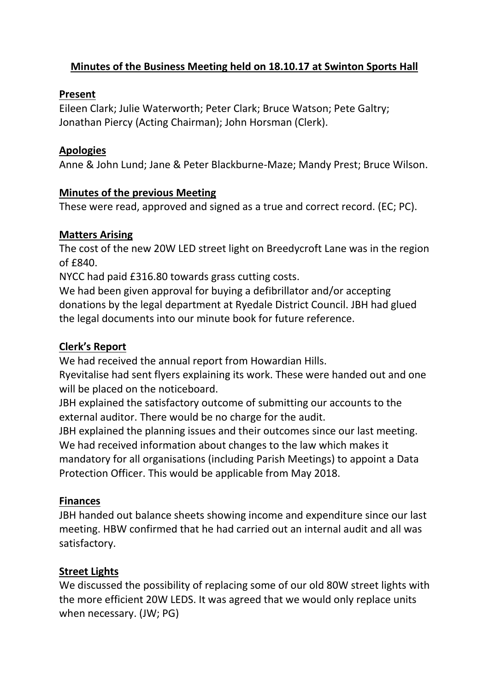# **Minutes of the Business Meeting held on 18.10.17 at Swinton Sports Hall**

#### **Present**

Eileen Clark; Julie Waterworth; Peter Clark; Bruce Watson; Pete Galtry; Jonathan Piercy (Acting Chairman); John Horsman (Clerk).

### **Apologies**

Anne & John Lund; Jane & Peter Blackburne-Maze; Mandy Prest; Bruce Wilson.

### **Minutes of the previous Meeting**

These were read, approved and signed as a true and correct record. (EC; PC).

### **Matters Arising**

The cost of the new 20W LED street light on Breedycroft Lane was in the region of £840.

NYCC had paid £316.80 towards grass cutting costs.

We had been given approval for buying a defibrillator and/or accepting donations by the legal department at Ryedale District Council. JBH had glued the legal documents into our minute book for future reference.

## **Clerk's Report**

We had received the annual report from Howardian Hills.

Ryevitalise had sent flyers explaining its work. These were handed out and one will be placed on the noticeboard.

JBH explained the satisfactory outcome of submitting our accounts to the external auditor. There would be no charge for the audit.

JBH explained the planning issues and their outcomes since our last meeting. We had received information about changes to the law which makes it mandatory for all organisations (including Parish Meetings) to appoint a Data Protection Officer. This would be applicable from May 2018.

## **Finances**

JBH handed out balance sheets showing income and expenditure since our last meeting. HBW confirmed that he had carried out an internal audit and all was satisfactory.

## **Street Lights**

We discussed the possibility of replacing some of our old 80W street lights with the more efficient 20W LEDS. It was agreed that we would only replace units when necessary. (JW; PG)